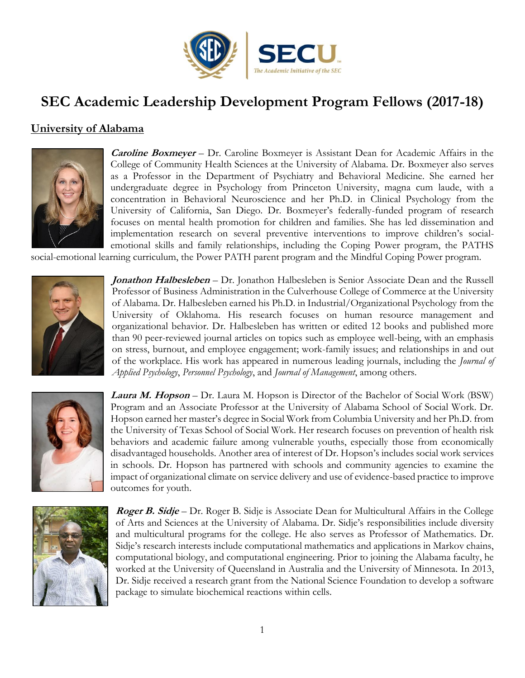

# **SEC Academic Leadership Development Program Fellows (2017-18)**

## **University of Alabama**



**Caroline Boxmeyer** – Dr. Caroline Boxmeyer is Assistant Dean for Academic Affairs in the College of Community Health Sciences at the University of Alabama. Dr. Boxmeyer also serves as a Professor in the Department of Psychiatry and Behavioral Medicine. She earned her undergraduate degree in Psychology from Princeton University, magna cum laude, with a concentration in Behavioral Neuroscience and her Ph.D. in Clinical Psychology from the University of California, San Diego. Dr. Boxmeyer's federally-funded program of research focuses on mental health promotion for children and families. She has led dissemination and implementation research on several preventive interventions to improve children's socialemotional skills and family relationships, including the Coping Power program, the PATHS

social-emotional learning curriculum, the Power PATH parent program and the Mindful Coping Power program.



**Jonathon Halbesleben** – Dr. Jonathon Halbesleben is Senior Associate Dean and the Russell Professor of Business Administration in the Culverhouse College of Commerce at the University of Alabama. Dr. Halbesleben earned his Ph.D. in Industrial/Organizational Psychology from the University of Oklahoma. His research focuses on human resource management and organizational behavior. Dr. Halbesleben has written or edited 12 books and published more than 90 peer-reviewed journal articles on topics such as employee well-being, with an emphasis on stress, burnout, and employee engagement; work-family issues; and relationships in and out of the workplace. His work has appeared in numerous leading journals, including the *Journal of Applied Psychology*, *Personnel Psychology*, and *Journal of Management*, among others.



**Laura M. Hopson** – Dr. Laura M. Hopson is Director of the Bachelor of Social Work (BSW) Program and an Associate Professor at the University of Alabama School of Social Work. Dr. Hopson earned her master's degree in Social Work from Columbia University and her Ph.D. from the University of Texas School of Social Work. Her research focuses on prevention of health risk behaviors and academic failure among vulnerable youths, especially those from economically disadvantaged households. Another area of interest of Dr. Hopson's includes social work services in schools. Dr. Hopson has partnered with schools and community agencies to examine the impact of organizational climate on service delivery and use of evidence-based practice to improve outcomes for youth.



**Roger B. Sidje** – Dr. Roger B. Sidje is Associate Dean for Multicultural Affairs in the College of Arts and Sciences at the University of Alabama. Dr. Sidje's responsibilities include diversity and multicultural programs for the college. He also serves as Professor of Mathematics. Dr. Sidje's research interests include computational mathematics and applications in Markov chains, computational biology, and computational engineering. Prior to joining the Alabama faculty, he worked at the University of Queensland in Australia and the University of Minnesota. In 2013, Dr. Sidje received a research grant from the National Science Foundation to develop a software package to simulate biochemical reactions within cells.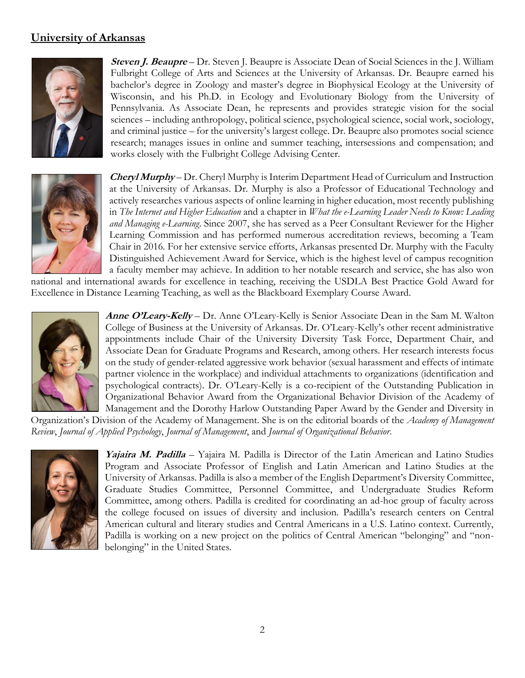#### **University of Arkansas**



**Steven J. Beaupre** – Dr. Steven J. Beaupre is Associate Dean of Social Sciences in the J. William Fulbright College of Arts and Sciences at the University of Arkansas. Dr. Beaupre earned his bachelor's degree in Zoology and master's degree in Biophysical Ecology at the University of Wisconsin, and his Ph.D. in Ecology and Evolutionary Biology from the University of Pennsylvania. As Associate Dean, he represents and provides strategic vision for the social sciences – including anthropology, political science, psychological science, social work, sociology, and criminal justice – for the university's largest college. Dr. Beaupre also promotes social science research; manages issues in online and summer teaching, intersessions and compensation; and works closely with the Fulbright College Advising Center.



**Cheryl Murphy** – Dr. Cheryl Murphy is Interim Department Head of Curriculum and Instruction at the University of Arkansas. Dr. Murphy is also a Professor of Educational Technology and actively researches various aspects of online learning in higher education, most recently publishing in *The Internet and Higher Education* and a chapter in *What the e-Learning Leader Needs to Know: Leading and Managing e-Learning*. Since 2007, she has served as a Peer Consultant Reviewer for the Higher Learning Commission and has performed numerous accreditation reviews, becoming a Team Chair in 2016. For her extensive service efforts, Arkansas presented Dr. Murphy with the Faculty Distinguished Achievement Award for Service, which is the highest level of campus recognition a faculty member may achieve. In addition to her notable research and service, she has also won

national and international awards for excellence in teaching, receiving the USDLA Best Practice Gold Award for Excellence in Distance Learning Teaching, as well as the Blackboard Exemplary Course Award.



**Anne O'Leary-Kelly** – Dr. Anne O'Leary-Kelly is Senior Associate Dean in the Sam M. Walton College of Business at the University of Arkansas. Dr. O'Leary-Kelly's other recent administrative appointments include Chair of the University Diversity Task Force, Department Chair, and Associate Dean for Graduate Programs and Research, among others. Her research interests focus on the study of gender-related aggressive work behavior (sexual harassment and effects of intimate partner violence in the workplace) and individual attachments to organizations (identification and psychological contracts). Dr. O'Leary-Kelly is a co-recipient of the Outstanding Publication in Organizational Behavior Award from the Organizational Behavior Division of the Academy of Management and the Dorothy Harlow Outstanding Paper Award by the Gender and Diversity in

Organization's Division of the Academy of Management. She is on the editorial boards of the *Academy of Management Review*, *Journal of Applied Psychology*, *Journal of Management*, and *Journal of Organizational Behavior*.



**Yajaira M. Padilla** – Yajaira M. Padilla is Director of the Latin American and Latino Studies Program and Associate Professor of English and Latin American and Latino Studies at the University of Arkansas. Padilla is also a member of the English Department's Diversity Committee, Graduate Studies Committee, Personnel Committee, and Undergraduate Studies Reform Committee, among others. Padilla is credited for coordinating an ad-hoc group of faculty across the college focused on issues of diversity and inclusion. Padilla's research centers on Central American cultural and literary studies and Central Americans in a U.S. Latino context. Currently, Padilla is working on a new project on the politics of Central American "belonging" and "nonbelonging" in the United States.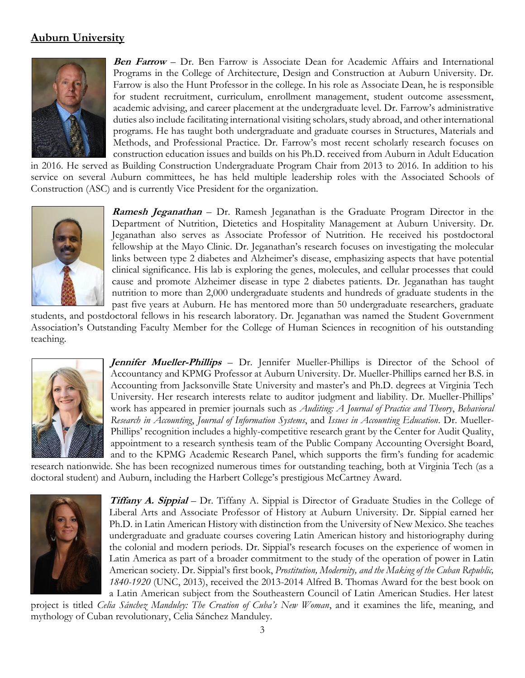#### **Auburn University**



**Ben Farrow** – Dr. Ben Farrow is Associate Dean for Academic Affairs and International Programs in the College of Architecture, Design and Construction at Auburn University. Dr. Farrow is also the Hunt Professor in the college. In his role as Associate Dean, he is responsible for student recruitment, curriculum, enrollment management, student outcome assessment, academic advising, and career placement at the undergraduate level. Dr. Farrow's administrative duties also include facilitating international visiting scholars, study abroad, and other international programs. He has taught both undergraduate and graduate courses in Structures, Materials and Methods, and Professional Practice. Dr. Farrow's most recent scholarly research focuses on construction education issues and builds on his Ph.D. received from Auburn in Adult Education

in 2016. He served as Building Construction Undergraduate Program Chair from 2013 to 2016. In addition to his service on several Auburn committees, he has held multiple leadership roles with the Associated Schools of Construction (ASC) and is currently Vice President for the organization.



**Ramesh Jeganathan** – Dr. Ramesh Jeganathan is the Graduate Program Director in the Department of Nutrition, Dietetics and Hospitality Management at Auburn University. Dr. Jeganathan also serves as Associate Professor of Nutrition. He received his postdoctoral fellowship at the Mayo Clinic. Dr. Jeganathan's research focuses on investigating the molecular links between type 2 diabetes and Alzheimer's disease, emphasizing aspects that have potential clinical significance. His lab is exploring the genes, molecules, and cellular processes that could cause and promote Alzheimer disease in type 2 diabetes patients. Dr. Jeganathan has taught nutrition to more than 2,000 undergraduate students and hundreds of graduate students in the past five years at Auburn. He has mentored more than 50 undergraduate researchers, graduate

students, and postdoctoral fellows in his research laboratory. Dr. Jeganathan was named the Student Government Association's Outstanding Faculty Member for the College of Human Sciences in recognition of his outstanding teaching.



**Jennifer Mueller-Phillips** – Dr. Jennifer Mueller-Phillips is Director of the School of Accountancy and KPMG Professor at Auburn University. Dr. Mueller-Phillips earned her B.S. in Accounting from Jacksonville State University and master's and Ph.D. degrees at Virginia Tech University. Her research interests relate to auditor judgment and liability. Dr. Mueller-Phillips' work has appeared in premier journals such as *Auditing: A Journal of Practice and Theory*, *Behavioral Research in Accounting*, *Journal of Information Systems*, and *Issues in Accounting Education*. Dr. Mueller-Phillips' recognition includes a highly-competitive research grant by the Center for Audit Quality, appointment to a research synthesis team of the Public Company Accounting Oversight Board, and to the KPMG Academic Research Panel, which supports the firm's funding for academic

research nationwide. She has been recognized numerous times for outstanding teaching, both at Virginia Tech (as a doctoral student) and Auburn, including the Harbert College's prestigious McCartney Award.



**Tiffany A. Sippial** – Dr. Tiffany A. Sippial is Director of Graduate Studies in the College of Liberal Arts and Associate Professor of History at Auburn University. Dr. Sippial earned her Ph.D. in Latin American History with distinction from the University of New Mexico. She teaches undergraduate and graduate courses covering Latin American history and historiography during the colonial and modern periods. Dr. Sippial's research focuses on the experience of women in Latin America as part of a broader commitment to the study of the operation of power in Latin American society. Dr. Sippial's first book, *Prostitution, Modernity, and the Making of the Cuban Republic, 1840-1920* (UNC, 2013), received the 2013-2014 Alfred B. Thomas Award for the best book on a Latin American subject from the Southeastern Council of Latin American Studies. Her latest

project is titled *Celia Sánchez Manduley: The Creation of Cuba's New Woman*, and it examines the life, meaning, and mythology of Cuban revolutionary, Celia Sánchez Manduley.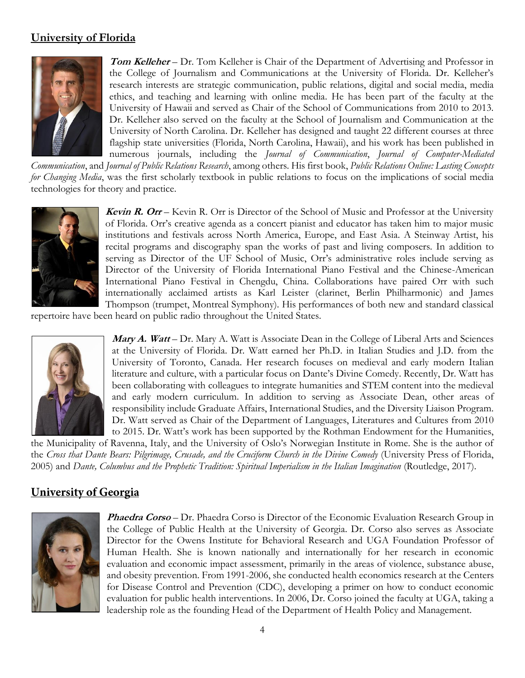#### **University of Florida**



**Tom Kelleher** – Dr. Tom Kelleher is Chair of the Department of Advertising and Professor in the College of Journalism and Communications at the University of Florida. Dr. Kelleher's research interests are strategic communication, public relations, digital and social media, media ethics, and teaching and learning with online media. He has been part of the faculty at the University of Hawaii and served as Chair of the School of Communications from 2010 to 2013. Dr. Kelleher also served on the faculty at the School of Journalism and Communication at the University of North Carolina. Dr. Kelleher has designed and taught 22 different courses at three flagship state universities (Florida, North Carolina, Hawaii), and his work has been published in numerous journals, including the *Journal of Communication*, *Journal of Computer-Mediated* 

*Communication*, and *Journal of Public Relations Research*, among others. His first book, *Public Relations Online: Lasting Concepts for Changing Media*, was the first scholarly textbook in public relations to focus on the implications of social media technologies for theory and practice.



**Kevin R. Orr** – Kevin R. Orr is Director of the School of Music and Professor at the University of Florida. Orr's creative agenda as a concert pianist and educator has taken him to major music institutions and festivals across North America, Europe, and East Asia. A Steinway Artist, his recital programs and discography span the works of past and living composers. In addition to serving as Director of the UF School of Music, Orr's administrative roles include serving as Director of the University of Florida International Piano Festival and the Chinese-American International Piano Festival in Chengdu, China. Collaborations have paired Orr with such internationally acclaimed artists as Karl Leister (clarinet, Berlin Philharmonic) and James Thompson (trumpet, Montreal Symphony). His performances of both new and standard classical

repertoire have been heard on public radio throughout the United States.



**Mary A. Watt** – Dr. Mary A. Watt is Associate Dean in the College of Liberal Arts and Sciences at the University of Florida. Dr. Watt earned her Ph.D. in Italian Studies and J.D. from the University of Toronto, Canada. Her research focuses on medieval and early modern Italian literature and culture, with a particular focus on Dante's Divine Comedy. Recently, Dr. Watt has been collaborating with colleagues to integrate humanities and STEM content into the medieval and early modern curriculum. In addition to serving as Associate Dean, other areas of responsibility include Graduate Affairs, International Studies, and the Diversity Liaison Program. Dr. Watt served as Chair of the Department of Languages, Literatures and Cultures from 2010 to 2015. Dr. Watt's work has been supported by the Rothman Endowment for the Humanities,

the Municipality of Ravenna, Italy, and the University of Oslo's Norwegian Institute in Rome. She is the author of the *Cross that Dante Bears: Pilgrimage, Crusade, and the Cruciform Church in the Divine Comedy* (University Press of Florida, 2005) and *Dante, Columbus and the Prophetic Tradition: Spiritual Imperialism in the Italian Imagination* (Routledge, 2017).

### **University of Georgia**



**Phaedra Corso** – Dr. Phaedra Corso is Director of the Economic Evaluation Research Group in the College of Public Health at the University of Georgia. Dr. Corso also serves as Associate Director for the Owens Institute for Behavioral Research and UGA Foundation Professor of Human Health. She is known nationally and internationally for her research in economic evaluation and economic impact assessment, primarily in the areas of violence, substance abuse, and obesity prevention. From 1991-2006, she conducted health economics research at the Centers for Disease Control and Prevention (CDC), developing a primer on how to conduct economic evaluation for public health interventions. In 2006, Dr. Corso joined the faculty at UGA, taking a leadership role as the founding Head of the Department of Health Policy and Management.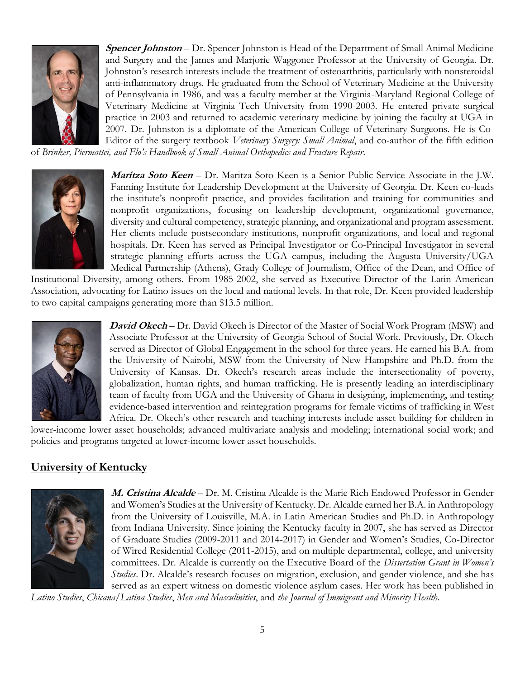

**Spencer Johnston** – Dr. Spencer Johnston is Head of the Department of Small Animal Medicine and Surgery and the James and Marjorie Waggoner Professor at the University of Georgia. Dr. Johnston's research interests include the treatment of osteoarthritis, particularly with nonsteroidal anti-inflammatory drugs. He graduated from the School of Veterinary Medicine at the University of Pennsylvania in 1986, and was a faculty member at the Virginia-Maryland Regional College of Veterinary Medicine at Virginia Tech University from 1990-2003. He entered private surgical practice in 2003 and returned to academic veterinary medicine by joining the faculty at UGA in 2007. Dr. Johnston is a diplomate of the American College of Veterinary Surgeons. He is Co-Editor of the surgery textbook *Veterinary Surgery: Small Animal*, and co-author of the fifth edition

of *Brinker, Piermattei, and Flo's Handbook of Small Animal Orthopedics and Fracture Repair*.



**Maritza Soto Keen** – Dr. Maritza Soto Keen is a Senior Public Service Associate in the J.W. Fanning Institute for Leadership Development at the University of Georgia. Dr. Keen co-leads the institute's nonprofit practice, and provides facilitation and training for communities and nonprofit organizations, focusing on leadership development, organizational governance, diversity and cultural competency, strategic planning, and organizational and program assessment. Her clients include postsecondary institutions, nonprofit organizations, and local and regional hospitals. Dr. Keen has served as Principal Investigator or Co-Principal Investigator in several strategic planning efforts across the UGA campus, including the Augusta University/UGA Medical Partnership (Athens), Grady College of Journalism, Office of the Dean, and Office of

Institutional Diversity, among others. From 1985-2002, she served as Executive Director of the Latin American Association, advocating for Latino issues on the local and national levels. In that role, Dr. Keen provided leadership to two capital campaigns generating more than \$13.5 million.



**David Okech** – Dr. David Okech is Director of the Master of Social Work Program (MSW) and Associate Professor at the University of Georgia School of Social Work. Previously, Dr. Okech served as Director of Global Engagement in the school for three years. He earned his B.A. from the University of Nairobi, MSW from the University of New Hampshire and Ph.D. from the University of Kansas. Dr. Okech's research areas include the intersectionality of poverty, globalization, human rights, and human trafficking. He is presently leading an interdisciplinary team of faculty from UGA and the University of Ghana in designing, implementing, and testing evidence-based intervention and reintegration programs for female victims of trafficking in West Africa. Dr. Okech's other research and teaching interests include asset building for children in

lower-income lower asset households; advanced multivariate analysis and modeling; international social work; and policies and programs targeted at lower-income lower asset households.

# **University of Kentucky**



**M. Cristina Alcalde** – Dr. M. Cristina Alcalde is the Marie Rich Endowed Professor in Gender and Women's Studies at the University of Kentucky. Dr. Alcalde earned her B.A. in Anthropology from the University of Louisville, M.A. in Latin American Studies and Ph.D. in Anthropology from Indiana University. Since joining the Kentucky faculty in 2007, she has served as Director of Graduate Studies (2009-2011 and 2014-2017) in Gender and Women's Studies, Co-Director of Wired Residential College (2011-2015), and on multiple departmental, college, and university committees. Dr. Alcalde is currently on the Executive Board of the *Dissertation Grant in Women's Studies*. Dr. Alcalde's research focuses on migration, exclusion, and gender violence, and she has served as an expert witness on domestic violence asylum cases. Her work has been published in

*Latino Studies*, *Chicana/Latina Studies*, *Men and Masculinities*, and *the Journal of Immigrant and Minority Health*.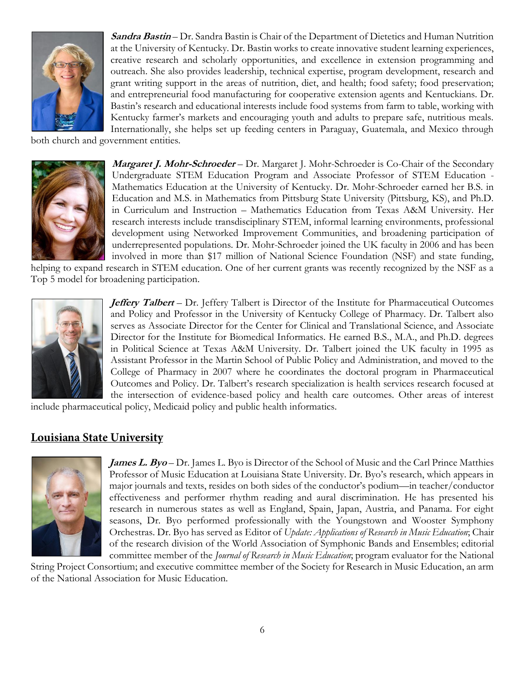

**Sandra Bastin** – Dr. Sandra Bastin is Chair of the Department of Dietetics and Human Nutrition at the University of Kentucky. Dr. Bastin works to create innovative student learning experiences, creative research and scholarly opportunities, and excellence in extension programming and outreach. She also provides leadership, technical expertise, program development, research and grant writing support in the areas of nutrition, diet, and health; food safety; food preservation; and entrepreneurial food manufacturing for cooperative extension agents and Kentuckians. Dr. Bastin's research and educational interests include food systems from farm to table, working with Kentucky farmer's markets and encouraging youth and adults to prepare safe, nutritious meals. Internationally, she helps set up feeding centers in Paraguay, Guatemala, and Mexico through

both church and government entities.



**Margaret J. Mohr-Schroeder** – Dr. Margaret J. Mohr-Schroeder is Co-Chair of the Secondary Undergraduate STEM Education Program and Associate Professor of STEM Education - Mathematics Education at the University of Kentucky. Dr. Mohr-Schroeder earned her B.S. in Education and M.S. in Mathematics from Pittsburg State University (Pittsburg, KS), and Ph.D. in Curriculum and Instruction – Mathematics Education from Texas A&M University. Her research interests include transdisciplinary STEM, informal learning environments, professional development using Networked Improvement Communities, and broadening participation of underrepresented populations. Dr. Mohr-Schroeder joined the UK faculty in 2006 and has been involved in more than \$17 million of National Science Foundation (NSF) and state funding,

helping to expand research in STEM education. One of her current grants was recently recognized by the NSF as a Top 5 model for broadening participation.



*Jeffery Talbert* – Dr. Jeffery Talbert is Director of the Institute for Pharmaceutical Outcomes and Policy and Professor in the University of Kentucky College of Pharmacy. Dr. Talbert also serves as Associate Director for the Center for Clinical and Translational Science, and Associate Director for the Institute for Biomedical Informatics. He earned B.S., M.A., and Ph.D. degrees in Political Science at Texas A&M University. Dr. Talbert joined the UK faculty in 1995 as Assistant Professor in the Martin School of Public Policy and Administration, and moved to the College of Pharmacy in 2007 where he coordinates the doctoral program in Pharmaceutical Outcomes and Policy. Dr. Talbert's research specialization is health services research focused at the intersection of evidence-based policy and health care outcomes. Other areas of interest

include pharmaceutical policy, Medicaid policy and public health informatics.

### Louisiana State University



**James L. Byo** – Dr. James L. Byo is Director of the School of Music and the Carl Prince Matthies Professor of Music Education at Louisiana State University. Dr. Byo's research, which appears in major journals and texts, resides on both sides of the conductor's podium—in teacher/conductor effectiveness and performer rhythm reading and aural discrimination. He has presented his research in numerous states as well as England, Spain, Japan, Austria, and Panama. For eight seasons, Dr. Byo performed professionally with the Youngstown and Wooster Symphony Orchestras. Dr. Byo has served as Editor of *Update: Applications of Research in Music Education*; Chair of the research division of the World Association of Symphonic Bands and Ensembles; editorial committee member of the *Journal of Research in Music Education*; program evaluator for the National

String Project Consortium; and executive committee member of the Society for Research in Music Education, an arm of the National Association for Music Education.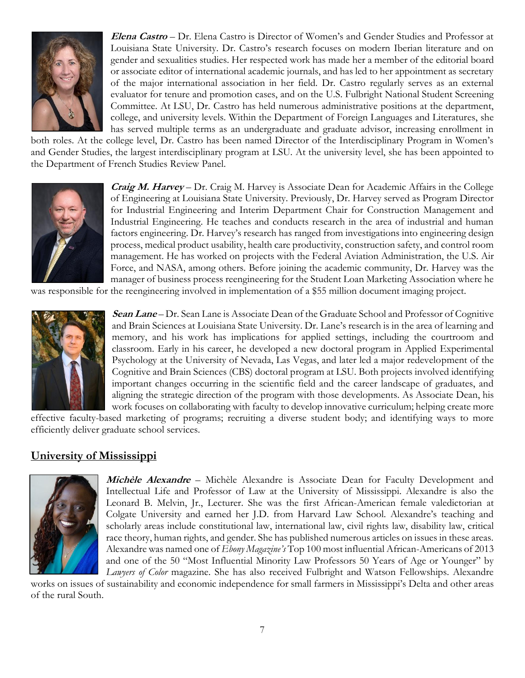

**Elena Castro** – Dr. Elena Castro is Director of Women's and Gender Studies and Professor at Louisiana State University. Dr. Castro's research focuses on modern Iberian literature and on gender and sexualities studies. Her respected work has made her a member of the editorial board or associate editor of international academic journals, and has led to her appointment as secretary of the major international association in her field. Dr. Castro regularly serves as an external evaluator for tenure and promotion cases, and on the U.S. Fulbright National Student Screening Committee. At LSU, Dr. Castro has held numerous administrative positions at the department, college, and university levels. Within the Department of Foreign Languages and Literatures, she has served multiple terms as an undergraduate and graduate advisor, increasing enrollment in

both roles. At the college level, Dr. Castro has been named Director of the Interdisciplinary Program in Women's and Gender Studies, the largest interdisciplinary program at LSU. At the university level, she has been appointed to the Department of French Studies Review Panel.



**Craig M. Harvey** – Dr. Craig M. Harvey is Associate Dean for Academic Affairs in the College of Engineering at Louisiana State University. Previously, Dr. Harvey served as Program Director for Industrial Engineering and Interim Department Chair for Construction Management and Industrial Engineering. He teaches and conducts research in the area of industrial and human factors engineering. Dr. Harvey's research has ranged from investigations into engineering design process, medical product usability, health care productivity, construction safety, and control room management. He has worked on projects with the Federal Aviation Administration, the U.S. Air Force, and NASA, among others. Before joining the academic community, Dr. Harvey was the manager of business process reengineering for the Student Loan Marketing Association where he

was responsible for the reengineering involved in implementation of a \$55 million document imaging project.



**Sean Lane** – Dr. Sean Lane is Associate Dean of the Graduate School and Professor of Cognitive and Brain Sciences at Louisiana State University. Dr. Lane's research is in the area of learning and memory, and his work has implications for applied settings, including the courtroom and classroom. Early in his career, he developed a new doctoral program in Applied Experimental Psychology at the University of Nevada, Las Vegas, and later led a major redevelopment of the Cognitive and Brain Sciences (CBS) doctoral program at LSU. Both projects involved identifying important changes occurring in the scientific field and the career landscape of graduates, and aligning the strategic direction of the program with those developments. As Associate Dean, his work focuses on collaborating with faculty to develop innovative curriculum; helping create more

effective faculty-based marketing of programs; recruiting a diverse student body; and identifying ways to more efficiently deliver graduate school services.

### **University of Mississippi**



**Michèle Alexandre** – Michèle Alexandre is Associate Dean for Faculty Development and Intellectual Life and Professor of Law at the University of Mississippi. Alexandre is also the Leonard B. Melvin, Jr., Lecturer. She was the first African-American female valedictorian at Colgate University and earned her J.D. from Harvard Law School. Alexandre's teaching and scholarly areas include constitutional law, international law, civil rights law, disability law, critical race theory, human rights, and gender. She has published numerous articles on issues in these areas. Alexandre was named one of *Ebony Magazine's* Top 100 most influential African-Americans of 2013 and one of the 50 "Most Influential Minority Law Professors 50 Years of Age or Younger" by *Lawyers of Color* magazine. She has also received Fulbright and Watson Fellowships. Alexandre

works on issues of sustainability and economic independence for small farmers in Mississippi's Delta and other areas of the rural South.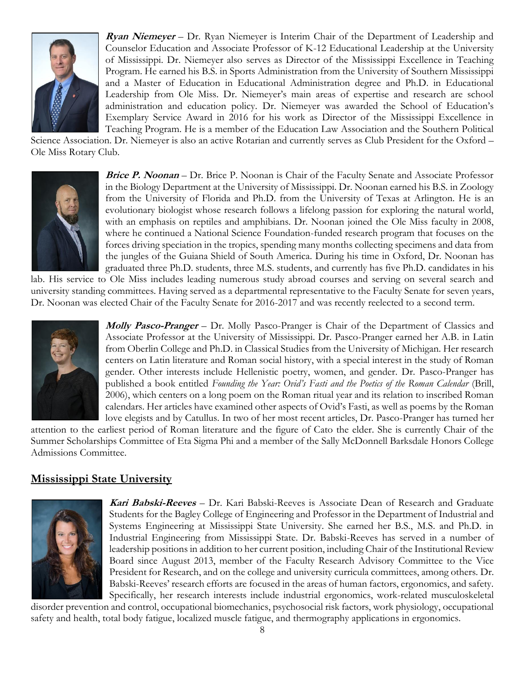

**Ryan Niemeyer** – Dr. Ryan Niemeyer is Interim Chair of the Department of Leadership and Counselor Education and Associate Professor of K-12 Educational Leadership at the University of Mississippi. Dr. Niemeyer also serves as Director of the Mississippi Excellence in Teaching Program. He earned his B.S. in Sports Administration from the University of Southern Mississippi and a Master of Education in Educational Administration degree and Ph.D. in Educational Leadership from Ole Miss. Dr. Niemeyer's main areas of expertise and research are school administration and education policy. Dr. Niemeyer was awarded the School of Education's Exemplary Service Award in 2016 for his work as Director of the Mississippi Excellence in Teaching Program. He is a member of the Education Law Association and the Southern Political

Science Association. Dr. Niemeyer is also an active Rotarian and currently serves as Club President for the Oxford – Ole Miss Rotary Club.



**Brice P. Noonan** – Dr. Brice P. Noonan is Chair of the Faculty Senate and Associate Professor in the Biology Department at the University of Mississippi. Dr. Noonan earned his B.S. in Zoology from the University of Florida and Ph.D. from the University of Texas at Arlington. He is an evolutionary biologist whose research follows a lifelong passion for exploring the natural world, with an emphasis on reptiles and amphibians. Dr. Noonan joined the Ole Miss faculty in 2008, where he continued a National Science Foundation-funded research program that focuses on the forces driving speciation in the tropics, spending many months collecting specimens and data from the jungles of the Guiana Shield of South America. During his time in Oxford, Dr. Noonan has graduated three Ph.D. students, three M.S. students, and currently has five Ph.D. candidates in his

lab. His service to Ole Miss includes leading numerous study abroad courses and serving on several search and university standing committees. Having served as a departmental representative to the Faculty Senate for seven years, Dr. Noonan was elected Chair of the Faculty Senate for 2016-2017 and was recently reelected to a second term.



**Molly Pasco-Pranger** – Dr. Molly Pasco-Pranger is Chair of the Department of Classics and Associate Professor at the University of Mississippi. Dr. Pasco-Pranger earned her A.B. in Latin from Oberlin College and Ph.D. in Classical Studies from the University of Michigan. Her research centers on Latin literature and Roman social history, with a special interest in the study of Roman gender. Other interests include Hellenistic poetry, women, and gender. Dr. Pasco-Pranger has published a book entitled *Founding the Year: Ovid's Fasti and the Poetics of the Roman Calendar* (Brill, 2006), which centers on a long poem on the Roman ritual year and its relation to inscribed Roman calendars. Her articles have examined other aspects of Ovid's Fasti, as well as poems by the Roman love elegists and by Catullus. In two of her most recent articles, Dr. Pasco-Pranger has turned her

attention to the earliest period of Roman literature and the figure of Cato the elder. She is currently Chair of the Summer Scholarships Committee of Eta Sigma Phi and a member of the Sally McDonnell Barksdale Honors College Admissions Committee.

### **Mississippi State University**



**Kari Babski-Reeves** – Dr. Kari Babski-Reeves is Associate Dean of Research and Graduate Students for the Bagley College of Engineering and Professor in the Department of Industrial and Systems Engineering at Mississippi State University. She earned her B.S., M.S. and Ph.D. in Industrial Engineering from Mississippi State. Dr. Babski-Reeves has served in a number of leadership positions in addition to her current position, including Chair of the Institutional Review Board since August 2013, member of the Faculty Research Advisory Committee to the Vice President for Research, and on the college and university curricula committees, among others. Dr. Babski-Reeves' research efforts are focused in the areas of human factors, ergonomics, and safety. Specifically, her research interests include industrial ergonomics, work-related musculoskeletal

disorder prevention and control, occupational biomechanics, psychosocial risk factors, work physiology, occupational safety and health, total body fatigue, localized muscle fatigue, and thermography applications in ergonomics.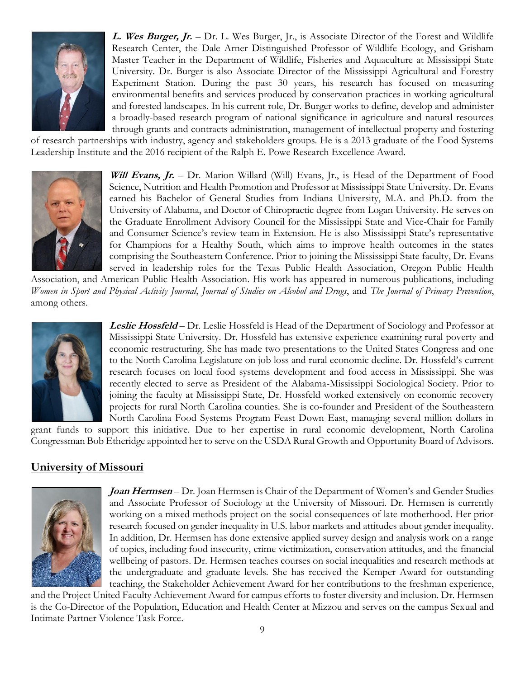

**L. Wes Burger, Jr.** – Dr. L. Wes Burger, Jr., is Associate Director of the Forest and Wildlife Research Center, the Dale Arner Distinguished Professor of Wildlife Ecology, and Grisham Master Teacher in the Department of Wildlife, Fisheries and Aquaculture at Mississippi State University. Dr. Burger is also Associate Director of the Mississippi Agricultural and Forestry Experiment Station. During the past 30 years, his research has focused on measuring environmental benefits and services produced by conservation practices in working agricultural and forested landscapes. In his current role, Dr. Burger works to define, develop and administer a broadly-based research program of national significance in agriculture and natural resources through grants and contracts administration, management of intellectual property and fostering

of research partnerships with industry, agency and stakeholders groups. He is a 2013 graduate of the Food Systems Leadership Institute and the 2016 recipient of the Ralph E. Powe Research Excellence Award.



**Will Evans, Jr.** – Dr. Marion Willard (Will) Evans, Jr., is Head of the Department of Food Science, Nutrition and Health Promotion and Professor at Mississippi State University. Dr. Evans earned his Bachelor of General Studies from Indiana University, M.A. and Ph.D. from the University of Alabama, and Doctor of Chiropractic degree from Logan University. He serves on the Graduate Enrollment Advisory Council for the Mississippi State and Vice-Chair for Family and Consumer Science's review team in Extension. He is also Mississippi State's representative for Champions for a Healthy South, which aims to improve health outcomes in the states comprising the Southeastern Conference. Prior to joining the Mississippi State faculty, Dr. Evans served in leadership roles for the Texas Public Health Association, Oregon Public Health

Association, and American Public Health Association. His work has appeared in numerous publications, including *Women in Sport and Physical Activity Journal*, *Journal of Studies on Alcohol and Drugs*, and *The Journal of Primary Prevention*, among others.



**Leslie Hossfeld** – Dr. Leslie Hossfeld is Head of the Department of Sociology and Professor at Mississippi State University. Dr. Hossfeld has extensive experience examining rural poverty and economic restructuring. She has made two presentations to the United States Congress and one to the North Carolina Legislature on job loss and rural economic decline. Dr. Hossfeld's current research focuses on local food systems development and food access in Mississippi. She was recently elected to serve as President of the Alabama-Mississippi Sociological Society. Prior to joining the faculty at Mississippi State, Dr. Hossfeld worked extensively on economic recovery projects for rural North Carolina counties. She is co-founder and President of the Southeastern North Carolina Food Systems Program Feast Down East, managing several million dollars in

grant funds to support this initiative. Due to her expertise in rural economic development, North Carolina Congressman Bob Etheridge appointed her to serve on the USDA Rural Growth and Opportunity Board of Advisors.

### **University of Missouri**



**Joan Hermsen** – Dr. Joan Hermsen is Chair of the Department of Women's and Gender Studies and Associate Professor of Sociology at the University of Missouri. Dr. Hermsen is currently working on a mixed methods project on the social consequences of late motherhood. Her prior research focused on gender inequality in U.S. labor markets and attitudes about gender inequality. In addition, Dr. Hermsen has done extensive applied survey design and analysis work on a range of topics, including food insecurity, crime victimization, conservation attitudes, and the financial wellbeing of pastors. Dr. Hermsen teaches courses on social inequalities and research methods at the undergraduate and graduate levels. She has received the Kemper Award for outstanding teaching, the Stakeholder Achievement Award for her contributions to the freshman experience,

and the Project United Faculty Achievement Award for campus efforts to foster diversity and inclusion. Dr. Hermsen is the Co-Director of the Population, Education and Health Center at Mizzou and serves on the campus Sexual and Intimate Partner Violence Task Force.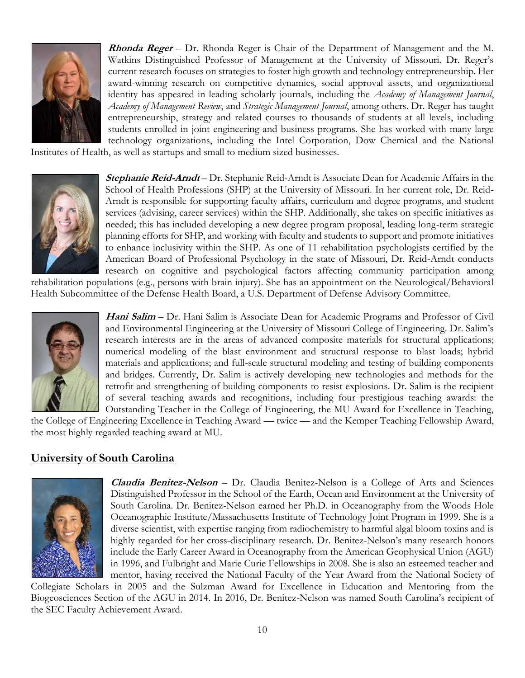

**Rhonda Reger** – Dr. Rhonda Reger is Chair of the Department of Management and the M. Watkins Distinguished Professor of Management at the University of Missouri. Dr. Reger's current research focuses on strategies to foster high growth and technology entrepreneurship. Her award-winning research on competitive dynamics, social approval assets, and organizational identity has appeared in leading scholarly journals, including the *Academy of Management Journal*, *Academy of Management Review*, and *Strategic Management Journal*, among others. Dr. Reger has taught entrepreneurship, strategy and related courses to thousands of students at all levels, including students enrolled in joint engineering and business programs. She has worked with many large technology organizations, including the Intel Corporation, Dow Chemical and the National

Institutes of Health, as well as startups and small to medium sized businesses.



**Stephanie Reid-Arndt** – Dr. Stephanie Reid-Arndt is Associate Dean for Academic Affairs in the School of Health Professions (SHP) at the University of Missouri. In her current role, Dr. Reid-Arndt is responsible for supporting faculty affairs, curriculum and degree programs, and student services (advising, career services) within the SHP. Additionally, she takes on specific initiatives as needed; this has included developing a new degree program proposal, leading long-term strategic planning efforts for SHP, and working with faculty and students to support and promote initiatives to enhance inclusivity within the SHP. As one of 11 rehabilitation psychologists certified by the American Board of Professional Psychology in the state of Missouri, Dr. Reid-Arndt conducts research on cognitive and psychological factors affecting community participation among

rehabilitation populations (e.g., persons with brain injury). She has an appointment on the Neurological/Behavioral Health Subcommittee of the Defense Health Board, a U.S. Department of Defense Advisory Committee.



**Hani Salim** – Dr. Hani Salim is Associate Dean for Academic Programs and Professor of Civil and Environmental Engineering at the University of Missouri College of Engineering. Dr. Salim's research interests are in the areas of advanced composite materials for structural applications; numerical modeling of the blast environment and structural response to blast loads; hybrid materials and applications; and full-scale structural modeling and testing of building components and bridges. Currently, Dr. Salim is actively developing new technologies and methods for the retrofit and strengthening of building components to resist explosions. Dr. Salim is the recipient of several teaching awards and recognitions, including four prestigious teaching awards: the Outstanding Teacher in the College of Engineering, the MU Award for Excellence in Teaching,

the College of Engineering Excellence in Teaching Award — twice — and the Kemper Teaching Fellowship Award, the most highly regarded teaching award at MU.

### **University of South Carolina**



**Claudia Benitez-Nelson** – Dr. Claudia Benitez-Nelson is a College of Arts and Sciences Distinguished Professor in the School of the Earth, Ocean and Environment at the University of South Carolina. Dr. Benitez-Nelson earned her Ph.D. in Oceanography from the Woods Hole Oceanographic Institute/Massachusetts Institute of Technology Joint Program in 1999. She is a diverse scientist, with expertise ranging from radiochemistry to harmful algal bloom toxins and is highly regarded for her cross-disciplinary research. Dr. Benitez-Nelson's many research honors include the Early Career Award in Oceanography from the American Geophysical Union (AGU) in 1996, and Fulbright and Marie Curie Fellowships in 2008. She is also an esteemed teacher and mentor, having received the National Faculty of the Year Award from the National Society of

Collegiate Scholars in 2005 and the Sulzman Award for Excellence in Education and Mentoring from the Biogeosciences Section of the AGU in 2014. In 2016, Dr. Benitez-Nelson was named South Carolina's recipient of the SEC Faculty Achievement Award.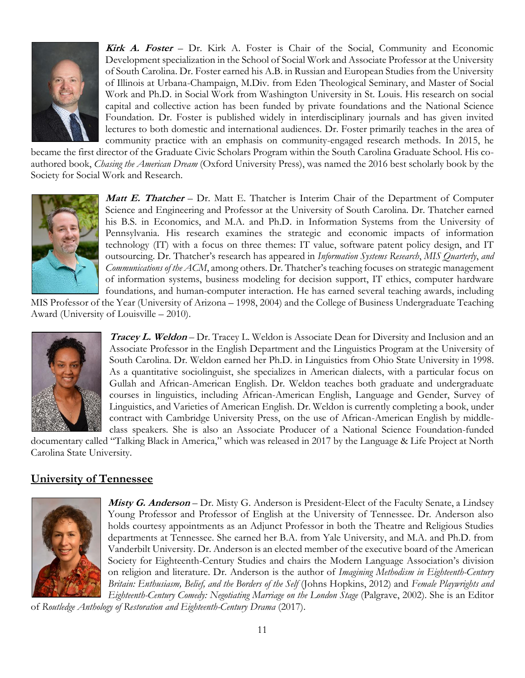

**Kirk A. Foster** – Dr. Kirk A. Foster is Chair of the Social, Community and Economic Development specialization in the School of Social Work and Associate Professor at the University of South Carolina. Dr. Foster earned his A.B. in Russian and European Studies from the University of Illinois at Urbana-Champaign, M.Div. from Eden Theological Seminary, and Master of Social Work and Ph.D. in Social Work from Washington University in St. Louis. His research on social capital and collective action has been funded by private foundations and the National Science Foundation. Dr. Foster is published widely in interdisciplinary journals and has given invited lectures to both domestic and international audiences. Dr. Foster primarily teaches in the area of community practice with an emphasis on community-engaged research methods. In 2015, he

became the first director of the Graduate Civic Scholars Program within the South Carolina Graduate School. His coauthored book, *Chasing the American Dream* (Oxford University Press), was named the 2016 best scholarly book by the Society for Social Work and Research.



**Matt E. Thatcher** – Dr. Matt E. Thatcher is Interim Chair of the Department of Computer Science and Engineering and Professor at the University of South Carolina. Dr. Thatcher earned his B.S. in Economics, and M.A. and Ph.D. in Information Systems from the University of Pennsylvania. His research examines the strategic and economic impacts of information technology (IT) with a focus on three themes: IT value, software patent policy design, and IT outsourcing. Dr. Thatcher's research has appeared in *Information Systems Research*, *MIS Quarterly*, *and Communications of the ACM*, among others. Dr. Thatcher's teaching focuses on strategic management of information systems, business modeling for decision support, IT ethics, computer hardware foundations, and human-computer interaction. He has earned several teaching awards, including

MIS Professor of the Year (University of Arizona – 1998, 2004) and the College of Business Undergraduate Teaching Award (University of Louisville – 2010).



**Tracey L. Weldon** – Dr. Tracey L. Weldon is Associate Dean for Diversity and Inclusion and an Associate Professor in the English Department and the Linguistics Program at the University of South Carolina. Dr. Weldon earned her Ph.D. in Linguistics from Ohio State University in 1998. As a quantitative sociolinguist, she specializes in American dialects, with a particular focus on Gullah and African-American English. Dr. Weldon teaches both graduate and undergraduate courses in linguistics, including African-American English, Language and Gender, Survey of Linguistics, and Varieties of American English. Dr. Weldon is currently completing a book, under contract with Cambridge University Press, on the use of African-American English by middleclass speakers. She is also an Associate Producer of a National Science Foundation-funded

documentary called "Talking Black in America," which was released in 2017 by the Language & Life Project at North Carolina State University.

### **University of Tennessee**



**Misty G. Anderson** – Dr. Misty G. Anderson is President-Elect of the Faculty Senate, a Lindsey Young Professor and Professor of English at the University of Tennessee. Dr. Anderson also holds courtesy appointments as an Adjunct Professor in both the Theatre and Religious Studies departments at Tennessee. She earned her B.A. from Yale University, and M.A. and Ph.D. from Vanderbilt University. Dr. Anderson is an elected member of the executive board of the American Society for Eighteenth-Century Studies and chairs the Modern Language Association's division on religion and literature. Dr. Anderson is the author of *Imagining Methodism in Eighteenth-Century Britain: Enthusiasm, Belief, and the Borders of the Self* (Johns Hopkins, 2012) and *Female Playwrights and Eighteenth-Century Comedy: Negotiating Marriage on the London Stage* (Palgrave, 2002). She is an Editor

of *Routledge Anthology of Restoration and Eighteenth-Century Drama* (2017).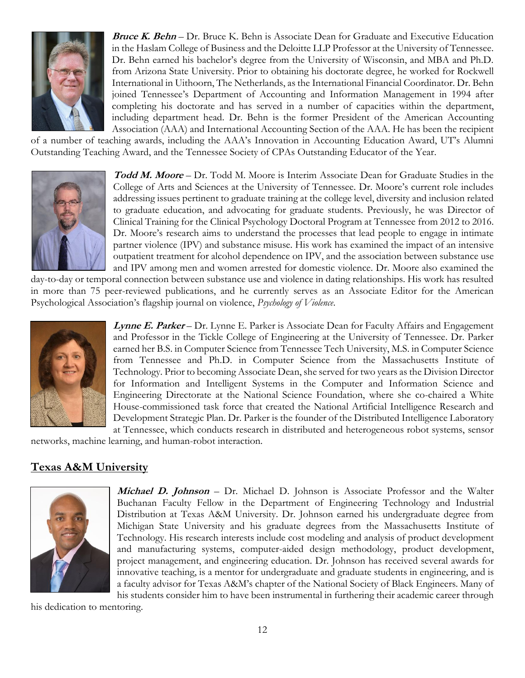

**Bruce K. Behn** – Dr. Bruce K. Behn is Associate Dean for Graduate and Executive Education in the Haslam College of Business and the Deloitte LLP Professor at the University of Tennessee. Dr. Behn earned his bachelor's degree from the University of Wisconsin, and MBA and Ph.D. from Arizona State University. Prior to obtaining his doctorate degree, he worked for Rockwell International in Uithoorn, The Netherlands, as the International Financial Coordinator. Dr. Behn joined Tennessee's Department of Accounting and Information Management in 1994 after completing his doctorate and has served in a number of capacities within the department, including department head. Dr. Behn is the former President of the American Accounting Association (AAA) and International Accounting Section of the AAA. He has been the recipient

of a number of teaching awards, including the AAA's Innovation in Accounting Education Award, UT's Alumni Outstanding Teaching Award, and the Tennessee Society of CPAs Outstanding Educator of the Year.



**Todd M. Moore** – Dr. Todd M. Moore is Interim Associate Dean for Graduate Studies in the College of Arts and Sciences at the University of Tennessee. Dr. Moore's current role includes addressing issues pertinent to graduate training at the college level, diversity and inclusion related to graduate education, and advocating for graduate students. Previously, he was Director of Clinical Training for the Clinical Psychology Doctoral Program at Tennessee from 2012 to 2016. Dr. Moore's research aims to understand the processes that lead people to engage in intimate partner violence (IPV) and substance misuse. His work has examined the impact of an intensive outpatient treatment for alcohol dependence on IPV, and the association between substance use and IPV among men and women arrested for domestic violence. Dr. Moore also examined the

day-to-day or temporal connection between substance use and violence in dating relationships. His work has resulted in more than 75 peer-reviewed publications, and he currently serves as an Associate Editor for the American Psychological Association's flagship journal on violence, *Psychology of Violence*.



**Lynne E. Parker** – Dr. Lynne E. Parker is Associate Dean for Faculty Affairs and Engagement and Professor in the Tickle College of Engineering at the University of Tennessee. Dr. Parker earned her B.S. in Computer Science from Tennessee Tech University, M.S. in Computer Science from Tennessee and Ph.D. in Computer Science from the Massachusetts Institute of Technology. Prior to becoming Associate Dean, she served for two years as the Division Director for Information and Intelligent Systems in the Computer and Information Science and Engineering Directorate at the National Science Foundation, where she co-chaired a White House-commissioned task force that created the National Artificial Intelligence Research and Development Strategic Plan. Dr. Parker is the founder of the Distributed Intelligence Laboratory at Tennessee, which conducts research in distributed and heterogeneous robot systems, sensor

networks, machine learning, and human-robot interaction.

# **Texas A&M University**



**Michael D. Johnson** – Dr. Michael D. Johnson is Associate Professor and the Walter Buchanan Faculty Fellow in the Department of Engineering Technology and Industrial Distribution at Texas A&M University. Dr. Johnson earned his undergraduate degree from Michigan State University and his graduate degrees from the Massachusetts Institute of Technology. His research interests include cost modeling and analysis of product development and manufacturing systems, computer-aided design methodology, product development, project management, and engineering education. Dr. Johnson has received several awards for innovative teaching, is a mentor for undergraduate and graduate students in engineering, and is a faculty advisor for Texas A&M's chapter of the National Society of Black Engineers. Many of his students consider him to have been instrumental in furthering their academic career through

his dedication to mentoring.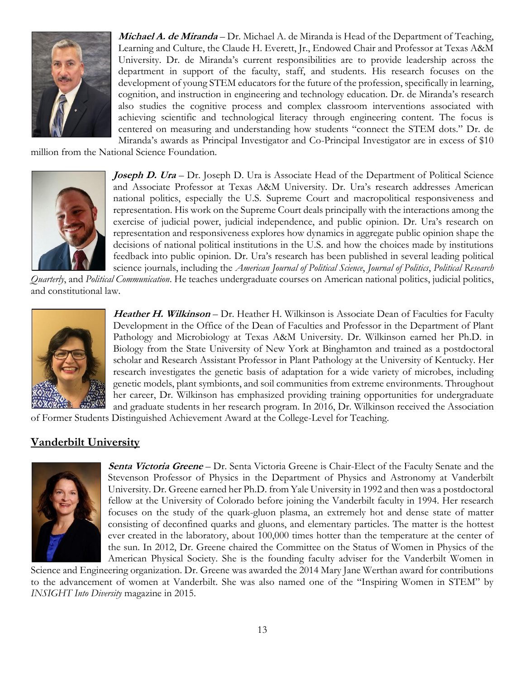

**Michael A. de Miranda** – Dr. Michael A. de Miranda is Head of the Department of Teaching, Learning and Culture, the Claude H. Everett, Jr., Endowed Chair and Professor at Texas A&M University. Dr. de Miranda's current responsibilities are to provide leadership across the department in support of the faculty, staff, and students. His research focuses on the development of young STEM educators for the future of the profession, specifically in learning, cognition, and instruction in engineering and technology education. Dr. de Miranda's research also studies the cognitive process and complex classroom interventions associated with achieving scientific and technological literacy through engineering content. The focus is centered on measuring and understanding how students "connect the STEM dots." Dr. de Miranda's awards as Principal Investigator and Co-Principal Investigator are in excess of \$10

million from the National Science Foundation.



**Joseph D. Ura** – Dr. Joseph D. Ura is Associate Head of the Department of Political Science and Associate Professor at Texas A&M University. Dr. Ura's research addresses American national politics, especially the U.S. Supreme Court and macropolitical responsiveness and representation. His work on the Supreme Court deals principally with the interactions among the exercise of judicial power, judicial independence, and public opinion. Dr. Ura's research on representation and responsiveness explores how dynamics in aggregate public opinion shape the decisions of national political institutions in the U.S. and how the choices made by institutions feedback into public opinion. Dr. Ura's research has been published in several leading political science journals, including the *American Journal of Political Science*, *Journal of Politics*, *Political Research* 

*Quarterly*, and *Political Communication*. He teaches undergraduate courses on American national politics, judicial politics, and constitutional law.



Heather H. Wilkinson – Dr. Heather H. Wilkinson is Associate Dean of Faculties for Faculty Development in the Office of the Dean of Faculties and Professor in the Department of Plant Pathology and Microbiology at Texas A&M University. Dr. Wilkinson earned her Ph.D. in Biology from the State University of New York at Binghamton and trained as a postdoctoral scholar and Research Assistant Professor in Plant Pathology at the University of Kentucky. Her research investigates the genetic basis of adaptation for a wide variety of microbes, including genetic models, plant symbionts, and soil communities from extreme environments. Throughout her career, Dr. Wilkinson has emphasized providing training opportunities for undergraduate and graduate students in her research program. In 2016, Dr. Wilkinson received the Association

of Former Students Distinguished Achievement Award at the College-Level for Teaching.

#### **Vanderbilt University**



**Senta Victoria Greene** – Dr. Senta Victoria Greene is Chair-Elect of the Faculty Senate and the Stevenson Professor of Physics in the Department of Physics and Astronomy at Vanderbilt University. Dr. Greene earned her Ph.D. from Yale University in 1992 and then was a postdoctoral fellow at the University of Colorado before joining the Vanderbilt faculty in 1994. Her research focuses on the study of the quark-gluon plasma, an extremely hot and dense state of matter consisting of deconfined quarks and gluons, and elementary particles. The matter is the hottest ever created in the laboratory, about 100,000 times hotter than the temperature at the center of the sun. In 2012, Dr. Greene chaired the Committee on the Status of Women in Physics of the American Physical Society. She is the founding faculty adviser for the Vanderbilt Women in

Science and Engineering organization. Dr. Greene was awarded the 2014 Mary Jane Werthan award for contributions to the advancement of women at Vanderbilt. She was also named one of the "Inspiring Women in STEM" by *INSIGHT Into Diversity* magazine in 2015.